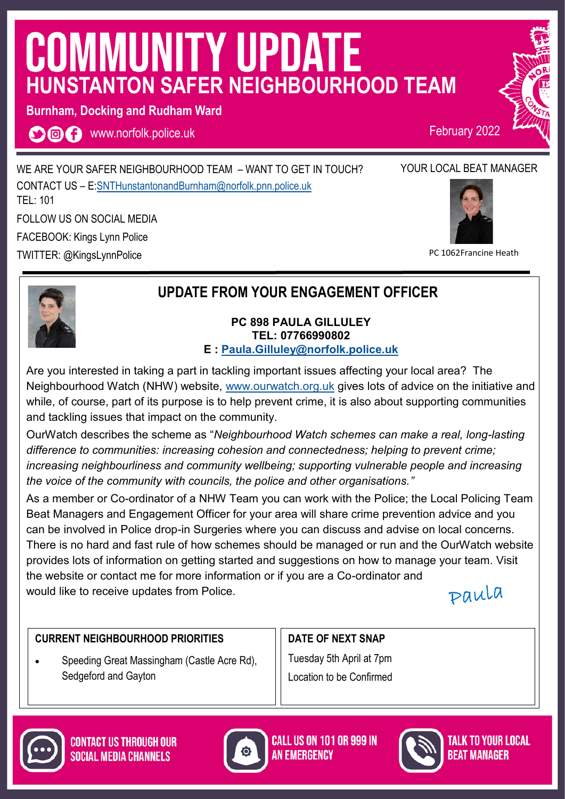# **COMMUNITY UPDATE HUNSTANTON SAFER NEIGHBOURHOOD TEAM**

**Burnham, Docking and Rudham Ward**

**OOO** www.norfolk.police.uk

February 2022

WE ARE YOUR SAFER NEIGHBOURHOOD TEAM – WANT TO GET IN TOUCH? CONTACT US – E:[SNTHunstantonandBurnham@norfolk.pnn.police.uk](mailto:SNTHunstantonandBurnham@norfolk.pnn.police.uk) TEL: 101 FOLLOW US ON SOCIAL MEDIA FACEBOOK: Kings Lynn Police

TWITTER: @KingsLynnPolice



YOUR LOCAL BEAT MANAGER

PC 1062Francine Heath



# **UPDATE FROM YOUR ENGAGEMENT OFFICER**

#### **PC 898 PAULA GILLULEY TEL: 07766990802 E : [Paula.Gilluley@norfolk.police.uk](mailto:Paula.Gilluley@norfolk.pnn.police.uk)**

Are you interested in taking a part in tackling important issues affecting your local area? The Neighbourhood Watch (NHW) website, [www.ourwatch.org.uk](http://www.ourwatch.org.uk) gives lots of advice on the initiative and while, of course, part of its purpose is to help prevent crime, it is also about supporting communities and tackling issues that impact on the community.

OurWatch describes the scheme as "*Neighbourhood Watch schemes can make a real, long-lasting difference to communities: increasing cohesion and connectedness; helping to prevent crime; increasing neighbourliness and community wellbeing; supporting vulnerable people and increasing the voice of the community with councils, the police and other organisations."* 

As a member or Co-ordinator of a NHW Team you can work with the Police; the Local Policing Team Beat Managers and Engagement Officer for your area will share crime prevention advice and you can be involved in Police drop-in Surgeries where you can discuss and advise on local concerns. There is no hard and fast rule of how schemes should be managed or run and the OurWatch website provides lots of information on getting started and suggestions on how to manage your team. Visit the website or contact me for more information or if you are a Co-ordinator and would like to receive updates from Police.

Paula

## **CURRENT NEIGHBOURHOOD PRIORITIES**

• Speeding Great Massingham (Castle Acre Rd), Sedgeford and Gayton

**DATE OF NEXT SNAP**  Tuesday 5th April at 7pm Location to be Confirmed





**CALL US ON 101 OR 999 IN AN FMFRGFNCY**